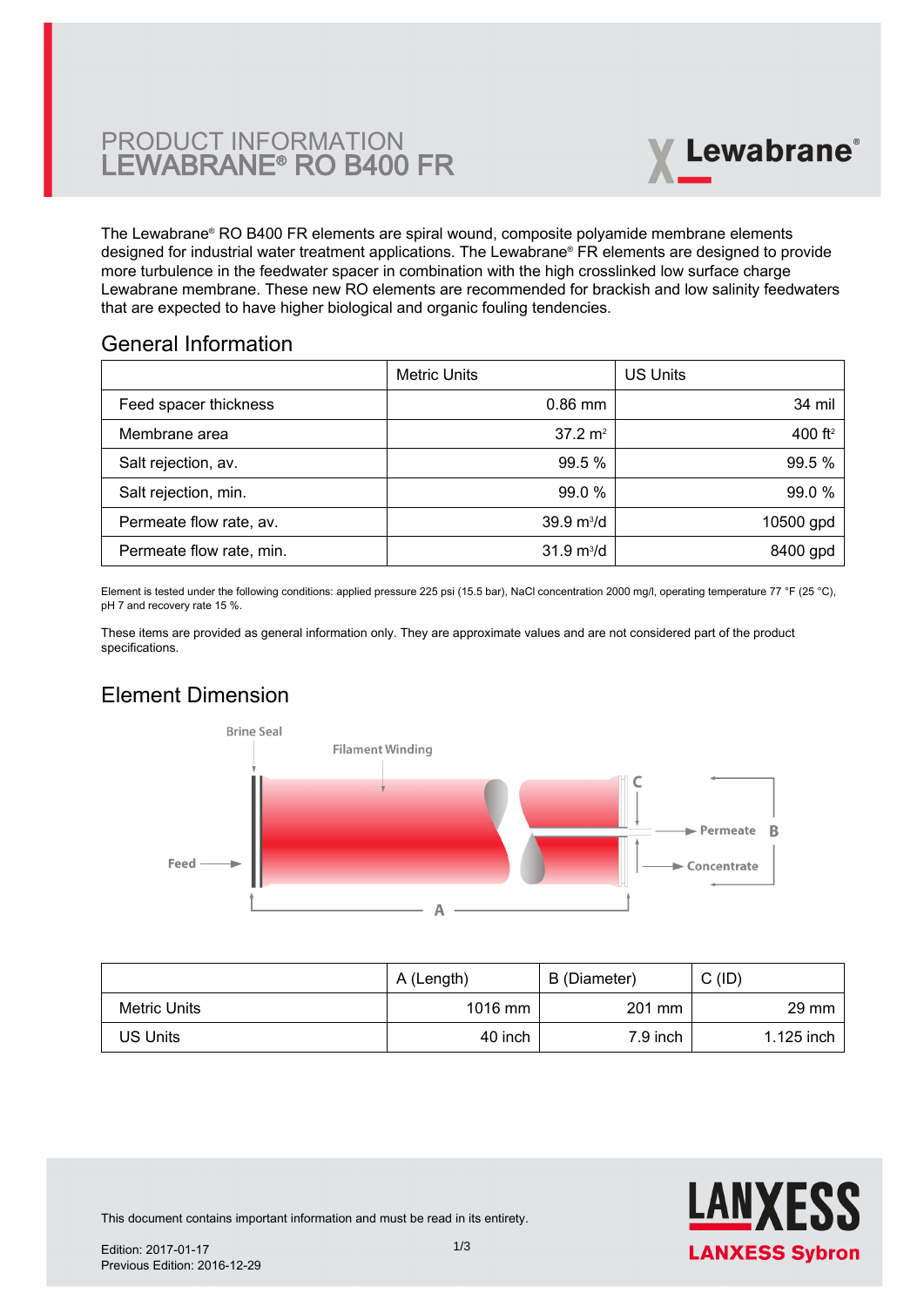# PRODUCT INFORMATION LEWABRANE® RO B400 FR



The Lewabrane® RO B400 FR elements are spiral wound, composite polyamide membrane elements designed for industrial water treatment applications. The Lewabrane® FR elements are designed to provide more turbulence in the feedwater spacer in combination with the high crosslinked low surface charge [Lewabrane membrane. These new RO elements are recommended for brackish and low salinity feedwaters](https://www.pureaqua.com/lanxess-lewabrane-b400-fr-membrane/) that are expected to have higher biological and organic fouling tendencies.

## General Information

|                          | <b>Metric Units</b>         | US Units   |
|--------------------------|-----------------------------|------------|
| Feed spacer thickness    | $0.86$ mm                   | 34 mil     |
| Membrane area            | $37.2 \text{ m}^2$          | 400 $ft^2$ |
| Salt rejection, av.      | 99.5 %                      | 99.5 %     |
| Salt rejection, min.     | 99.0 %                      | 99.0 %     |
| Permeate flow rate, av.  | $39.9 \text{ m}^3/\text{d}$ | 10500 gpd  |
| Permeate flow rate, min. | $31.9 \text{ m}^3/\text{d}$ | 8400 gpd   |

Element is tested under the following conditions: applied pressure 225 psi (15.5 bar), NaCl concentration 2000 mg/l, operating temperature 77 °F (25 °C), pH 7 and recovery rate 15 %.

These items are provided as general information only. They are approximate values and are not considered part of the product specifications.

# Element Dimension



|              | A (Length) | B (Diameter) | $C$ (ID)        |
|--------------|------------|--------------|-----------------|
| Metric Units | $1016$ mm  | 201 mm       | $29 \text{ mm}$ |
| US Units     | 40 inch    | 7.9 inch     | $1.125$ inch    |



This document contains important information and must be read in its entirety.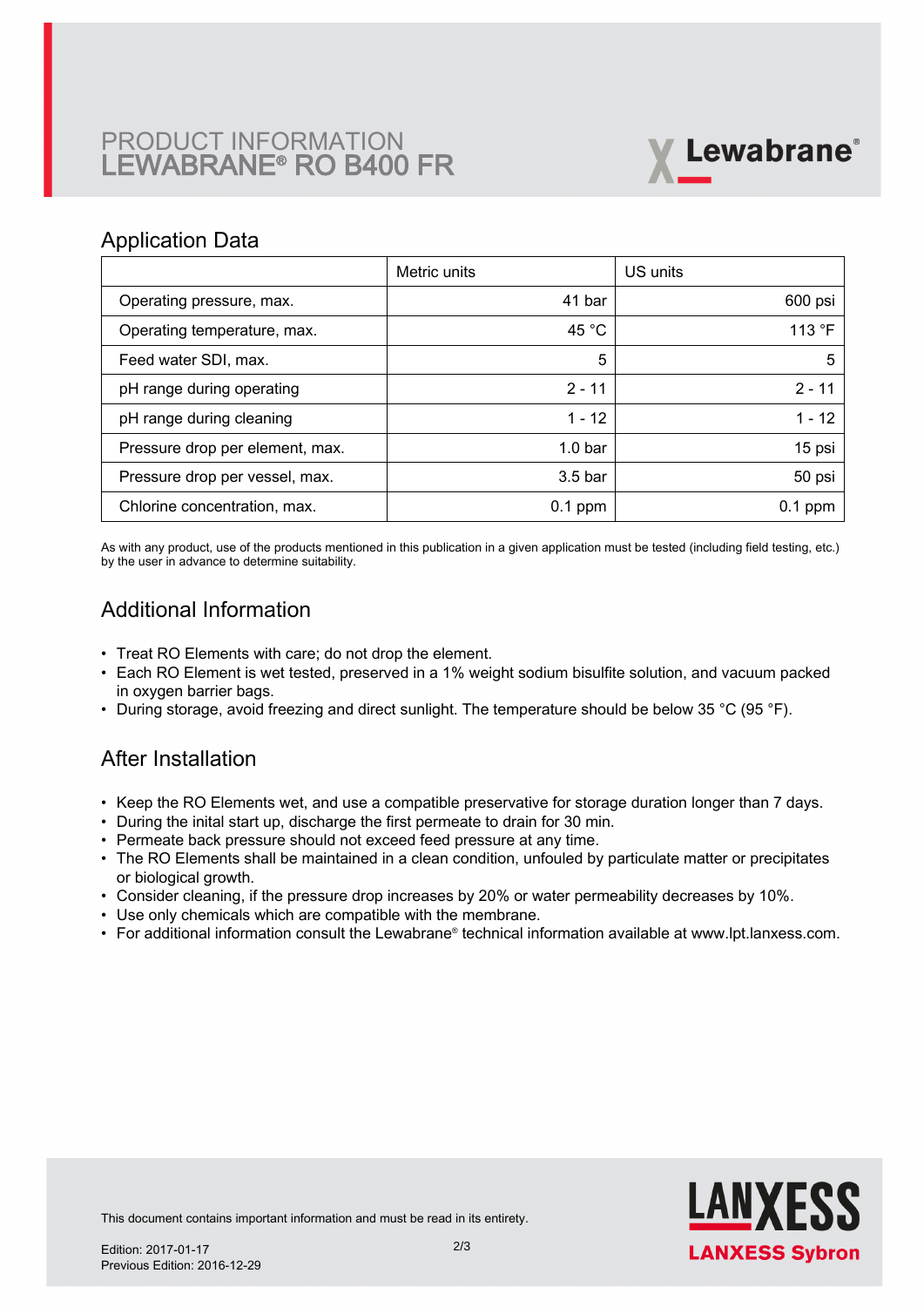# PRODUCT INFORMATION LEWABRANE® RO B400 FR



### Application Data

|                                 | Metric units       | US units        |
|---------------------------------|--------------------|-----------------|
| Operating pressure, max.        | 41 bar             | 600 psi         |
| Operating temperature, max.     | 45 $^{\circ}$ C    | 113 $\degree$ F |
| Feed water SDI, max.            | 5                  | 5               |
| pH range during operating       | $2 - 11$           | $2 - 11$        |
| pH range during cleaning        | $1 - 12$           | $1 - 12$        |
| Pressure drop per element, max. | 1.0 <sub>bar</sub> | 15 psi          |
| Pressure drop per vessel, max.  | 3.5 <sub>bar</sub> | 50 psi          |
| Chlorine concentration, max.    | $0.1$ ppm          | $0.1$ ppm       |

As with any product, use of the products mentioned in this publication in a given application must be tested (including field testing, etc.) by the user in advance to determine suitability.

# Additional Information

- Treat RO Elements with care; do not drop the element.
- Each RO Element is wet tested, preserved in a 1% weight sodium bisulfite solution, and vacuum packed in oxygen barrier bags.
- During storage, avoid freezing and direct sunlight. The temperature should be below 35 °C (95 °F).

## After Installation

- Keep the RO Elements wet, and use a compatible preservative for storage duration longer than 7 days.
- During the inital start up, discharge the first permeate to drain for 30 min.
- Permeate back pressure should not exceed feed pressure at any time.
- The RO Elements shall be maintained in a clean condition, unfouled by particulate matter or precipitates or biological growth.
- Consider cleaning, if the pressure drop increases by 20% or water permeability decreases by 10%.
- Use only chemicals which are compatible with the membrane.
- For additional information consult the Lewabrane® technical information available at www.lpt.lanxess.com.



This document contains important information and must be read in its entirety.